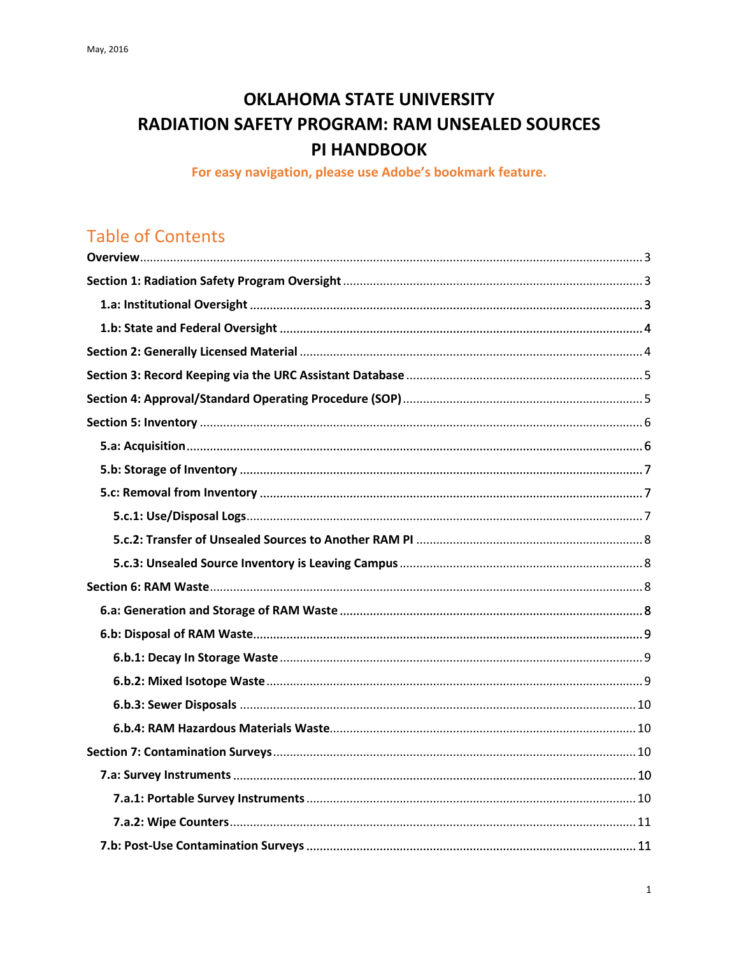# **OKLAHOMA STATE UNIVERSITY RADIATION SAFETY PROGRAM: RAM UNSEALED SOURCES** PI HANDBOOK

For easy navigation, please use Adobe's bookmark feature.

# **Table of Contents**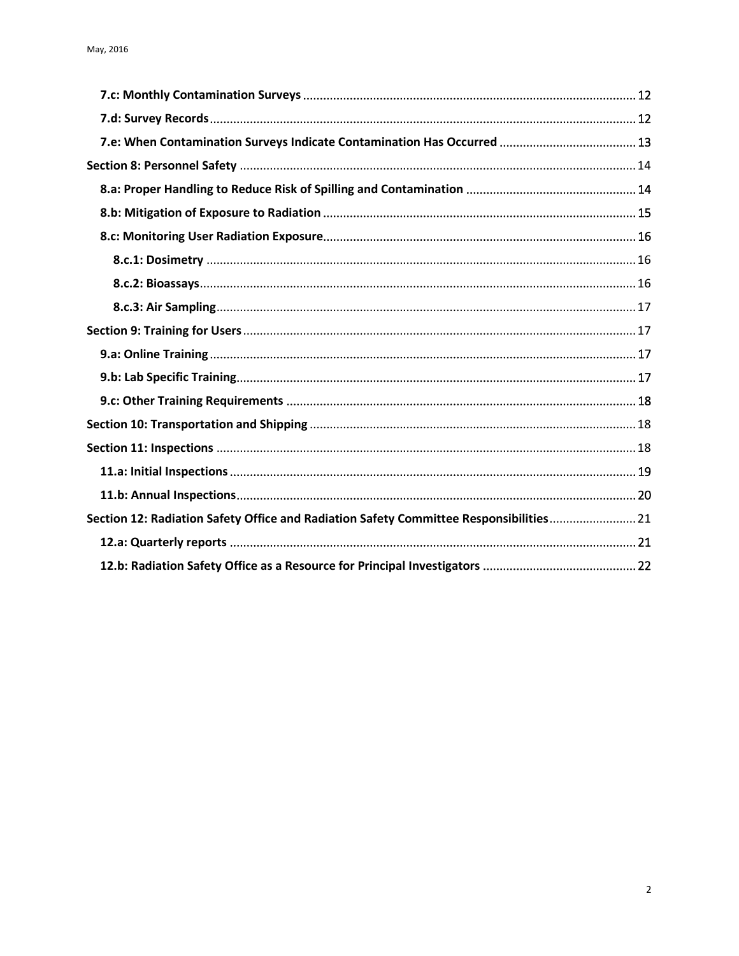<span id="page-1-0"></span>

| Section 12: Radiation Safety Office and Radiation Safety Committee Responsibilities 21 |  |
|----------------------------------------------------------------------------------------|--|
|                                                                                        |  |
|                                                                                        |  |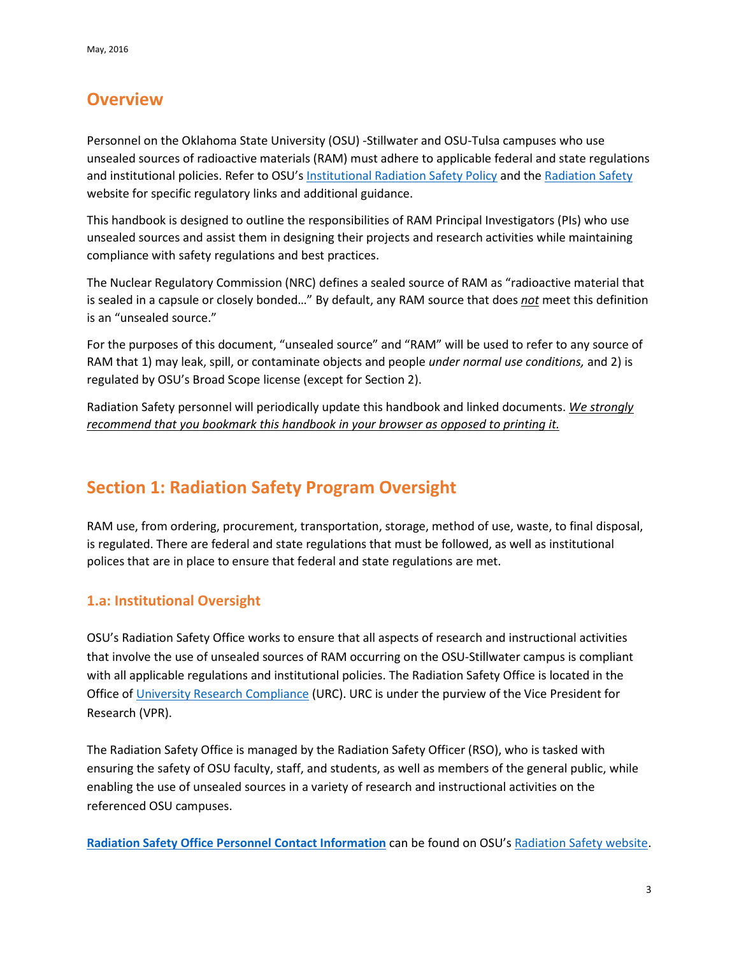## **Overview**

Personnel on the Oklahoma State University (OSU) -Stillwater and OSU-Tulsa campuses who use unsealed sources of radioactive materials (RAM) must adhere to applicable federal and state regulations and institutional policies. Refer to OSU's [Institutional Radiation Safety Policy](https://stillwater.sharepoint.okstate.edu/Policies/Shared%20Documents/Institutional%20Radiation%20Safety.pdf) and the [Radiation Safety](http://compliance.okstate.edu/rso/rso-index) website for specific regulatory links and additional guidance.

This handbook is designed to outline the responsibilities of RAM Principal Investigators (PIs) who use unsealed sources and assist them in designing their projects and research activities while maintaining compliance with safety regulations and best practices.

The Nuclear Regulatory Commission (NRC) defines a sealed source of RAM as "radioactive material that is sealed in a capsule or closely bonded…" By default, any RAM source that does *not* meet this definition is an "unsealed source."

For the purposes of this document, "unsealed source" and "RAM" will be used to refer to any source of RAM that 1) may leak, spill, or contaminate objects and people *under normal use conditions,* and 2) is regulated by OSU's Broad Scope license (except for Section 2).

Radiation Safety personnel will periodically update this handbook and linked documents. *We strongly recommend that you bookmark this handbook in your browser as opposed to printing it.*

# <span id="page-2-0"></span>**Section 1: Radiation Safety Program Oversight**

RAM use, from ordering, procurement, transportation, storage, method of use, waste, to final disposal, is regulated. There are federal and state regulations that must be followed, as well as institutional polices that are in place to ensure that federal and state regulations are met.

## <span id="page-2-1"></span>**1.a: Institutional Oversight**

OSU's Radiation Safety Office works to ensure that all aspects of research and instructional activities that involve the use of unsealed sources of RAM occurring on the OSU-Stillwater campus is compliant with all applicable regulations and institutional policies. The Radiation Safety Office is located in the Office of [University Research Compliance](http://compliance.okstate.edu/) (URC). URC is under the purview of the Vice President for Research (VPR).

The Radiation Safety Office is managed by the Radiation Safety Officer (RSO), who is tasked with ensuring the safety of OSU faculty, staff, and students, as well as members of the general public, while enabling the use of unsealed sources in a variety of research and instructional activities on the referenced OSU campuses.

**[Radiation Safety Office Personnel Contact Information](http://compliance.okstate.edu/rso/rso-contacts)** can be found on OSU'[s Radiation Safety website.](http://compliance.okstate.edu/rso/rso-index)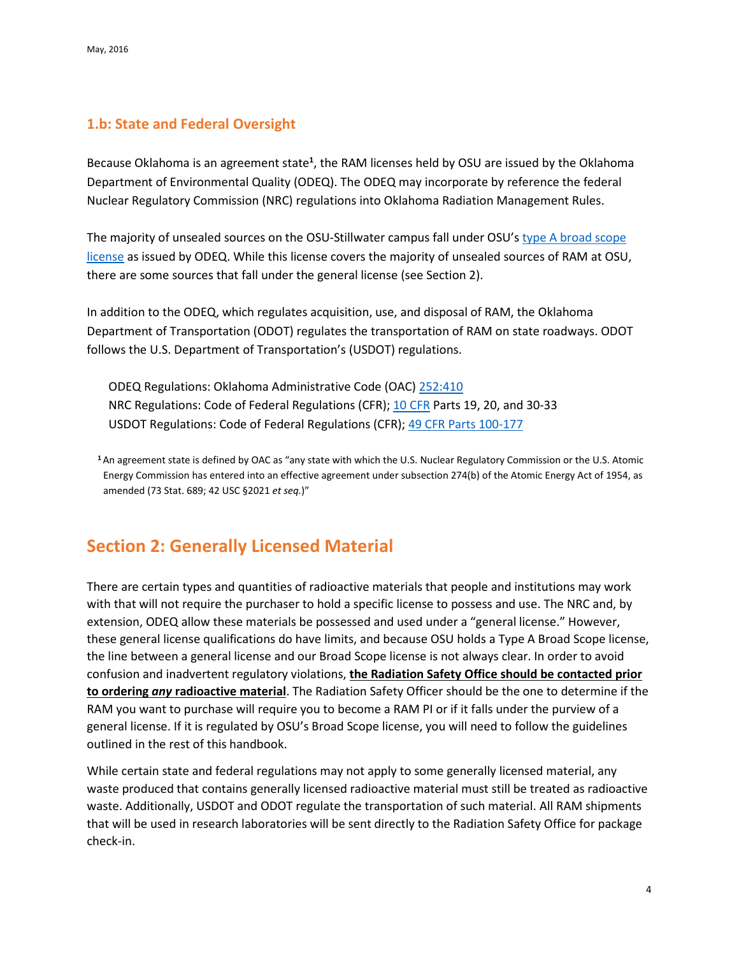## <span id="page-3-0"></span>**1.b: State and Federal Oversight**

Because Oklahoma is an agreement state**<sup>1</sup>** , the RAM licenses held by OSU are issued by the Oklahoma Department of Environmental Quality (ODEQ). The ODEQ may incorporate by reference the federal Nuclear Regulatory Commission (NRC) regulations into Oklahoma Radiation Management Rules.

The majority of unsealed sources on the OSU-Stillwater campus fall under OSU's [type A broad](http://www.nrc.gov/reading-rm/doc-collections/cfr/part033/part033-0011.html) scope [license](http://www.nrc.gov/reading-rm/doc-collections/cfr/part033/part033-0011.html) as issued by ODEQ. While this license covers the majority of unsealed sources of RAM at OSU, there are some sources that fall under the general license (see Section 2).

In addition to the ODEQ, which regulates acquisition, use, and disposal of RAM, the Oklahoma Department of Transportation (ODOT) regulates the transportation of RAM on state roadways. ODOT follows the U.S. Department of Transportation's (USDOT) regulations.

ODEQ Regulations: Oklahoma Administrative Code (OAC) [252:410](http://www.deq.state.ok.us/rules/410.pdf)  NRC Regulations: Code of Federal Regulations (CFR); [10 CFR](http://www.nrc.gov/reading-rm/doc-collections/cfr/) Parts 19, 20, and 30-33 USDOT Regulations: Code of Federal Regulations (CFR); [49 CFR Parts 100-177](http://www.ecfr.gov/cgi-bin/text-idx?SID=2d4175483213928625df52f3c52369de&mc=true&tpl=/ecfrbrowse/Title49/49cfrv2_02.tpl#0)

**<sup>1</sup>**An agreement state is defined by OAC as "any state with which the U.S. Nuclear Regulatory Commission or the U.S. Atomic Energy Commission has entered into an effective agreement under subsection 274(b) of the Atomic Energy Act of 1954, as amended (73 Stat. 689; 42 USC §2021 *et seq.*)"

## <span id="page-3-1"></span>**Section 2: Generally Licensed Material**

There are certain types and quantities of radioactive materials that people and institutions may work with that will not require the purchaser to hold a specific license to possess and use. The NRC and, by extension, ODEQ allow these materials be possessed and used under a "general license." However, these general license qualifications do have limits, and because OSU holds a Type A Broad Scope license, the line between a general license and our Broad Scope license is not always clear. In order to avoid confusion and inadvertent regulatory violations, **the Radiation Safety Office should be contacted prior to ordering** *any* **radioactive material**. The Radiation Safety Officer should be the one to determine if the RAM you want to purchase will require you to become a RAM PI or if it falls under the purview of a general license. If it is regulated by OSU's Broad Scope license, you will need to follow the guidelines outlined in the rest of this handbook.

While certain state and federal regulations may not apply to some generally licensed material, any waste produced that contains generally licensed radioactive material must still be treated as radioactive waste. Additionally, USDOT and ODOT regulate the transportation of such material. All RAM shipments that will be used in research laboratories will be sent directly to the Radiation Safety Office for package check-in.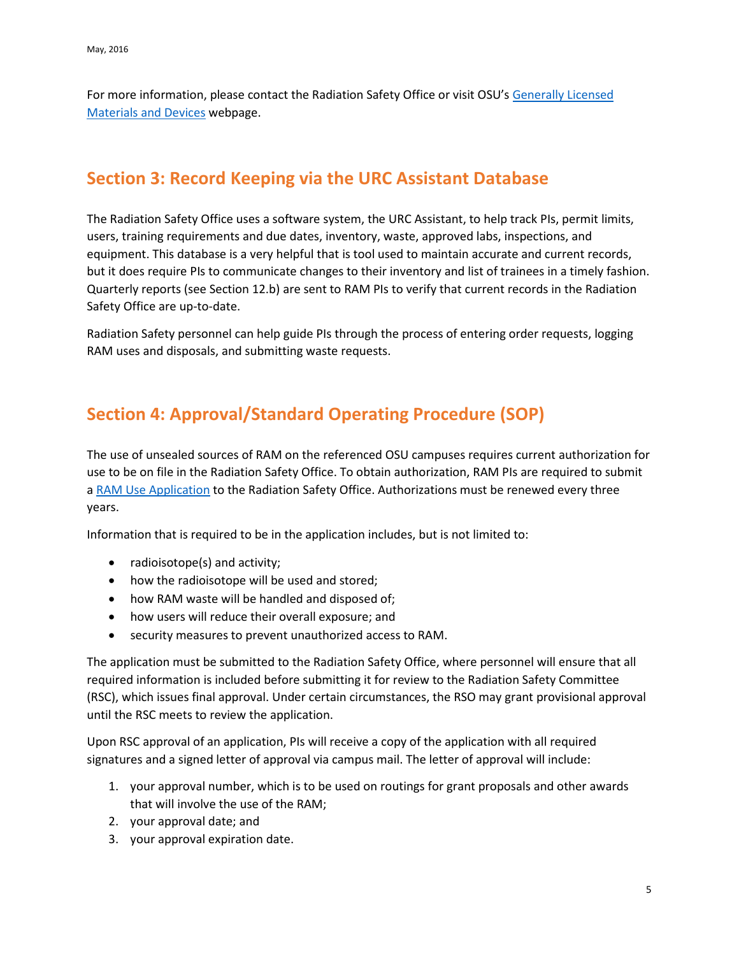For more information, please contact the Radiation Safety Office or visit OSU'[s Generally Licensed](http://compliance.okstate.edu/rso/radiation-safety-generally-licensed-materials-and-devices)  [Materials and Devices](http://compliance.okstate.edu/rso/radiation-safety-generally-licensed-materials-and-devices) webpage.

## <span id="page-4-0"></span>**Section 3: Record Keeping via the URC Assistant Database**

The Radiation Safety Office uses a software system, the URC Assistant, to help track PIs, permit limits, users, training requirements and due dates, inventory, waste, approved labs, inspections, and equipment. This database is a very helpful that is tool used to maintain accurate and current records, but it does require PIs to communicate changes to their inventory and list of trainees in a timely fashion. Quarterly reports (see Section 12.b) are sent to RAM PIs to verify that current records in the Radiation Safety Office are up-to-date.

Radiation Safety personnel can help guide PIs through the process of entering order requests, logging RAM uses and disposals, and submitting waste requests.

## <span id="page-4-1"></span>**Section 4: Approval/Standard Operating Procedure (SOP)**

The use of unsealed sources of RAM on the referenced OSU campuses requires current authorization for use to be on file in the Radiation Safety Office. To obtain authorization, RAM PIs are required to submit a [RAM Use Application](http://compliance.okstate.edu/sites/default/files/rso_docs/RAM%20Use%20Application.pdf) to the Radiation Safety Office. Authorizations must be renewed every three years.

Information that is required to be in the application includes, but is not limited to:

- radioisotope(s) and activity;
- how the radioisotope will be used and stored;
- how RAM waste will be handled and disposed of;
- how users will reduce their overall exposure; and
- security measures to prevent unauthorized access to RAM.

The application must be submitted to the Radiation Safety Office, where personnel will ensure that all required information is included before submitting it for review to the Radiation Safety Committee (RSC), which issues final approval. Under certain circumstances, the RSO may grant provisional approval until the RSC meets to review the application.

Upon RSC approval of an application, PIs will receive a copy of the application with all required signatures and a signed letter of approval via campus mail. The letter of approval will include:

- 1. your approval number, which is to be used on routings for grant proposals and other awards that will involve the use of the RAM;
- 2. your approval date; and
- 3. your approval expiration date.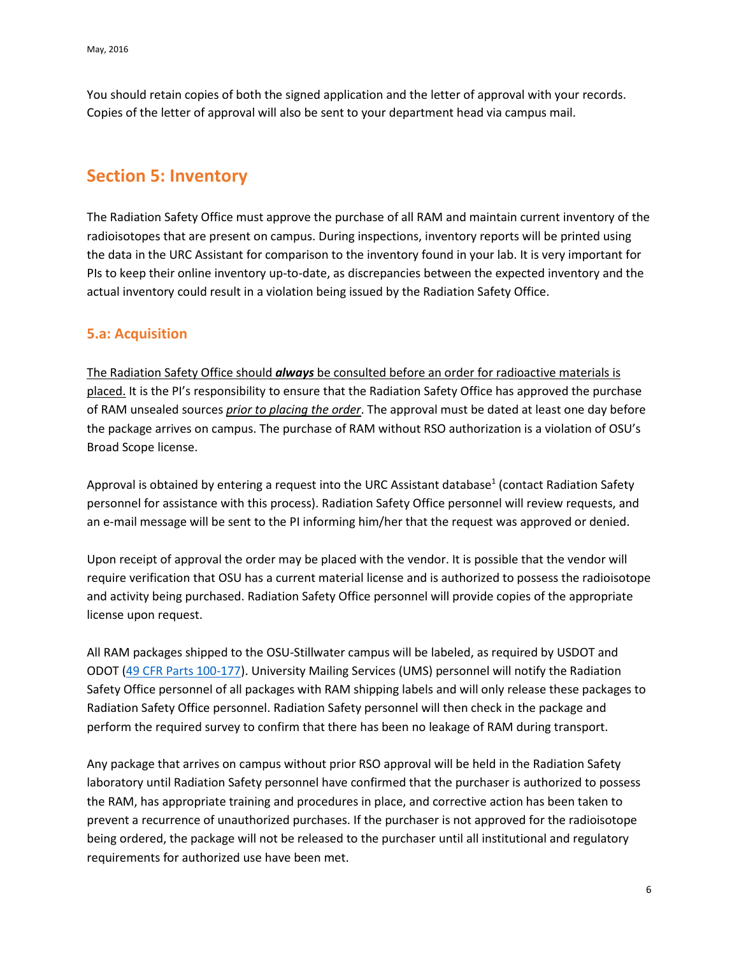You should retain copies of both the signed application and the letter of approval with your records. Copies of the letter of approval will also be sent to your department head via campus mail.

## <span id="page-5-0"></span>**Section 5: Inventory**

The Radiation Safety Office must approve the purchase of all RAM and maintain current inventory of the radioisotopes that are present on campus. During inspections, inventory reports will be printed using the data in the URC Assistant for comparison to the inventory found in your lab. It is very important for PIs to keep their online inventory up-to-date, as discrepancies between the expected inventory and the actual inventory could result in a violation being issued by the Radiation Safety Office.

### <span id="page-5-1"></span>**5.a: Acquisition**

The Radiation Safety Office should *always* be consulted before an order for radioactive materials is placed. It is the PI's responsibility to ensure that the Radiation Safety Office has approved the purchase of RAM unsealed sources *prior to placing the order*. The approval must be dated at least one day before the package arrives on campus. The purchase of RAM without RSO authorization is a violation of OSU's Broad Scope license.

Approval is obtained by entering a request into the URC Assistant database $1$  (contact Radiation Safety personnel for assistance with this process). Radiation Safety Office personnel will review requests, and an e-mail message will be sent to the PI informing him/her that the request was approved or denied.

Upon receipt of approval the order may be placed with the vendor. It is possible that the vendor will require verification that OSU has a current material license and is authorized to possess the radioisotope and activity being purchased. Radiation Safety Office personnel will provide copies of the appropriate license upon request.

All RAM packages shipped to the OSU-Stillwater campus will be labeled, as required by USDOT and ODOT [\(49 CFR Parts 100-177\)](http://www.ecfr.gov/cgi-bin/text-idx?SID=2d4175483213928625df52f3c52369de&mc=true&tpl=/ecfrbrowse/Title49/49cfrv2_02.tpl#0). University Mailing Services (UMS) personnel will notify the Radiation Safety Office personnel of all packages with RAM shipping labels and will only release these packages to Radiation Safety Office personnel. Radiation Safety personnel will then check in the package and perform the required survey to confirm that there has been no leakage of RAM during transport.

Any package that arrives on campus without prior RSO approval will be held in the Radiation Safety laboratory until Radiation Safety personnel have confirmed that the purchaser is authorized to possess the RAM, has appropriate training and procedures in place, and corrective action has been taken to prevent a recurrence of unauthorized purchases. If the purchaser is not approved for the radioisotope being ordered, the package will not be released to the purchaser until all institutional and regulatory requirements for authorized use have been met.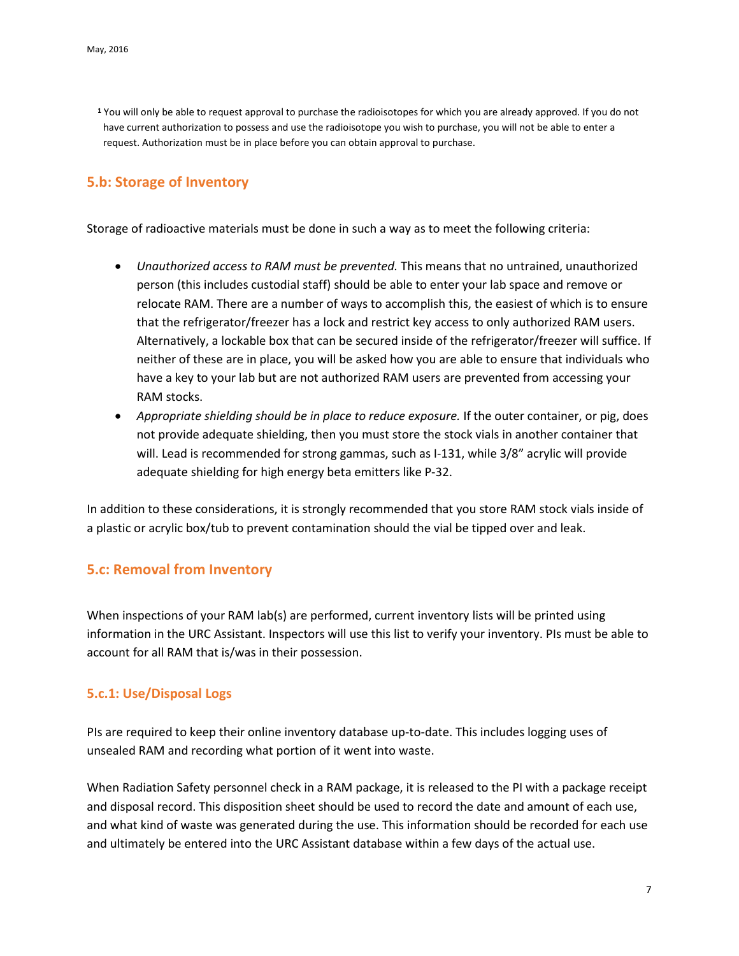**<sup>1</sup>** You will only be able to request approval to purchase the radioisotopes for which you are already approved. If you do not have current authorization to possess and use the radioisotope you wish to purchase, you will not be able to enter a request. Authorization must be in place before you can obtain approval to purchase.

### <span id="page-6-0"></span>**5.b: Storage of Inventory**

Storage of radioactive materials must be done in such a way as to meet the following criteria:

- *Unauthorized access to RAM must be prevented.* This means that no untrained, unauthorized person (this includes custodial staff) should be able to enter your lab space and remove or relocate RAM. There are a number of ways to accomplish this, the easiest of which is to ensure that the refrigerator/freezer has a lock and restrict key access to only authorized RAM users. Alternatively, a lockable box that can be secured inside of the refrigerator/freezer will suffice. If neither of these are in place, you will be asked how you are able to ensure that individuals who have a key to your lab but are not authorized RAM users are prevented from accessing your RAM stocks.
- *Appropriate shielding should be in place to reduce exposure.* If the outer container, or pig, does not provide adequate shielding, then you must store the stock vials in another container that will. Lead is recommended for strong gammas, such as I-131, while 3/8" acrylic will provide adequate shielding for high energy beta emitters like P-32.

In addition to these considerations, it is strongly recommended that you store RAM stock vials inside of a plastic or acrylic box/tub to prevent contamination should the vial be tipped over and leak.

#### <span id="page-6-1"></span>**5.c: Removal from Inventory**

When inspections of your RAM lab(s) are performed, current inventory lists will be printed using information in the URC Assistant. Inspectors will use this list to verify your inventory. PIs must be able to account for all RAM that is/was in their possession.

#### <span id="page-6-2"></span>**5.c.1: Use/Disposal Logs**

PIs are required to keep their online inventory database up-to-date. This includes logging uses of unsealed RAM and recording what portion of it went into waste.

When Radiation Safety personnel check in a RAM package, it is released to the PI with a package receipt and disposal record. This disposition sheet should be used to record the date and amount of each use, and what kind of waste was generated during the use. This information should be recorded for each use and ultimately be entered into the URC Assistant database within a few days of the actual use.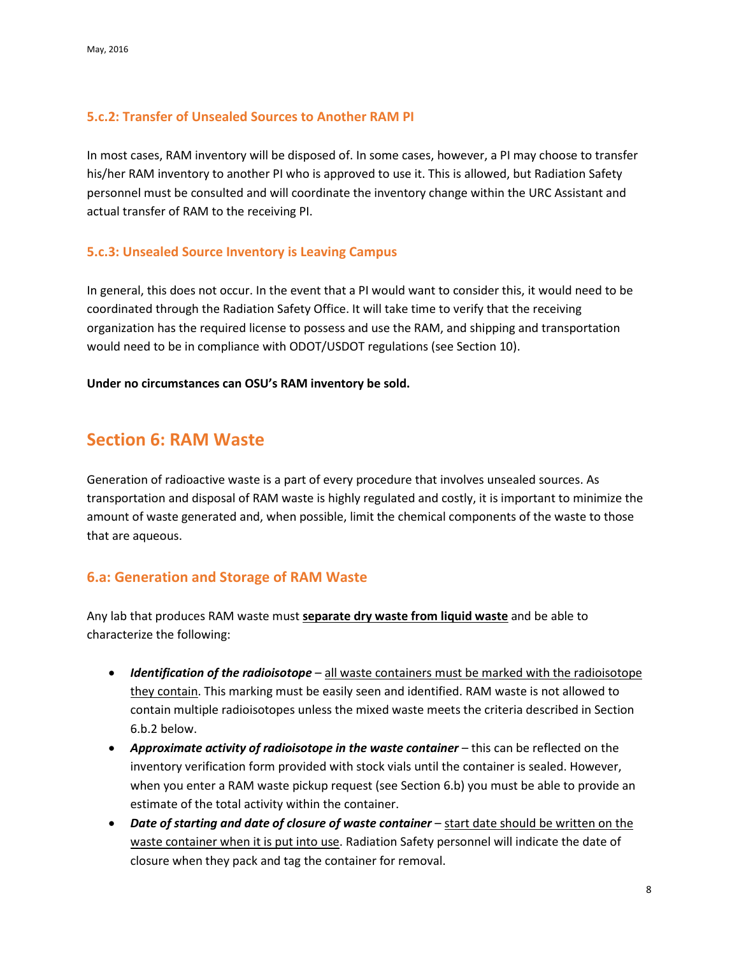#### <span id="page-7-0"></span>**5.c.2: Transfer of Unsealed Sources to Another RAM PI**

In most cases, RAM inventory will be disposed of. In some cases, however, a PI may choose to transfer his/her RAM inventory to another PI who is approved to use it. This is allowed, but Radiation Safety personnel must be consulted and will coordinate the inventory change within the URC Assistant and actual transfer of RAM to the receiving PI.

#### <span id="page-7-1"></span>**5.c.3: Unsealed Source Inventory is Leaving Campus**

In general, this does not occur. In the event that a PI would want to consider this, it would need to be coordinated through the Radiation Safety Office. It will take time to verify that the receiving organization has the required license to possess and use the RAM, and shipping and transportation would need to be in compliance with ODOT/USDOT regulations (see Section 10).

**Under no circumstances can OSU's RAM inventory be sold.**

## <span id="page-7-2"></span>**Section 6: RAM Waste**

Generation of radioactive waste is a part of every procedure that involves unsealed sources. As transportation and disposal of RAM waste is highly regulated and costly, it is important to minimize the amount of waste generated and, when possible, limit the chemical components of the waste to those that are aqueous.

#### <span id="page-7-3"></span>**6.a: Generation and Storage of RAM Waste**

Any lab that produces RAM waste must **separate dry waste from liquid waste** and be able to characterize the following:

- *Identification of the radioisotope* all waste containers must be marked with the radioisotope they contain. This marking must be easily seen and identified. RAM waste is not allowed to contain multiple radioisotopes unless the mixed waste meets the criteria described in Section 6.b.2 below.
- *Approximate activity of radioisotope in the waste container* this can be reflected on the inventory verification form provided with stock vials until the container is sealed. However, when you enter a RAM waste pickup request (see Section 6.b) you must be able to provide an estimate of the total activity within the container.
- *Date of starting and date of closure of waste container* start date should be written on the waste container when it is put into use. Radiation Safety personnel will indicate the date of closure when they pack and tag the container for removal.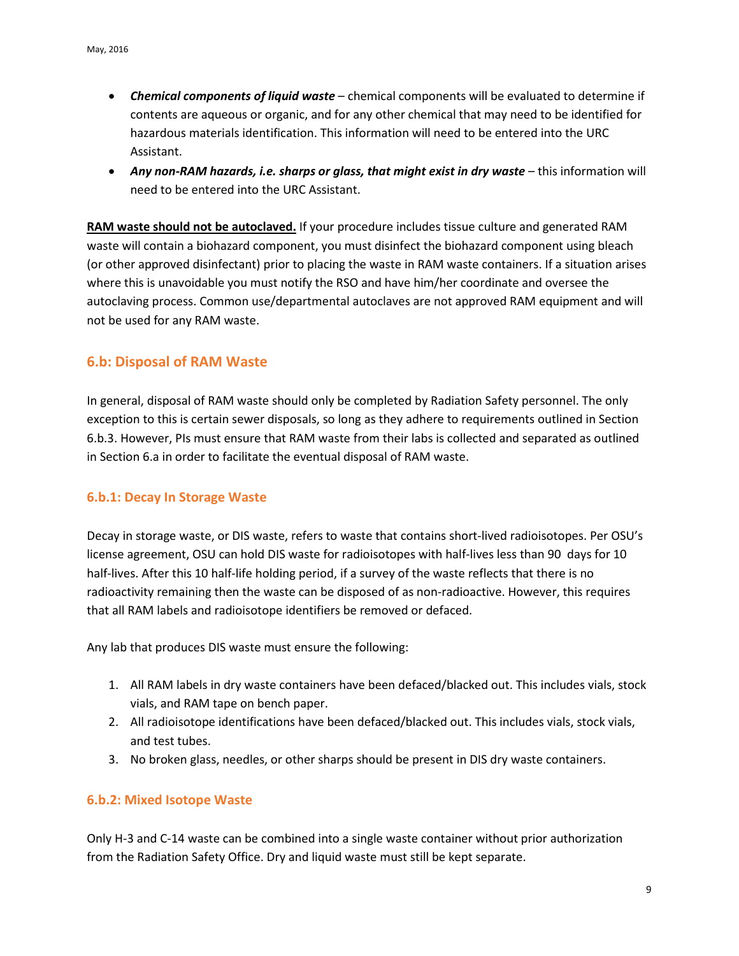- *Chemical components of liquid waste* chemical components will be evaluated to determine if contents are aqueous or organic, and for any other chemical that may need to be identified for hazardous materials identification. This information will need to be entered into the URC Assistant.
- *Any non-RAM hazards, i.e. sharps or glass, that might exist in dry waste* this information will need to be entered into the URC Assistant.

**RAM waste should not be autoclaved.** If your procedure includes tissue culture and generated RAM waste will contain a biohazard component, you must disinfect the biohazard component using bleach (or other approved disinfectant) prior to placing the waste in RAM waste containers. If a situation arises where this is unavoidable you must notify the RSO and have him/her coordinate and oversee the autoclaving process. Common use/departmental autoclaves are not approved RAM equipment and will not be used for any RAM waste.

#### <span id="page-8-0"></span>**6.b: Disposal of RAM Waste**

In general, disposal of RAM waste should only be completed by Radiation Safety personnel. The only exception to this is certain sewer disposals, so long as they adhere to requirements outlined in Section 6.b.3. However, PIs must ensure that RAM waste from their labs is collected and separated as outlined in Section 6.a in order to facilitate the eventual disposal of RAM waste.

#### <span id="page-8-1"></span>**6.b.1: Decay In Storage Waste**

Decay in storage waste, or DIS waste, refers to waste that contains short-lived radioisotopes. Per OSU's license agreement, OSU can hold DIS waste for radioisotopes with half-lives less than 90 days for 10 half-lives. After this 10 half-life holding period, if a survey of the waste reflects that there is no radioactivity remaining then the waste can be disposed of as non-radioactive. However, this requires that all RAM labels and radioisotope identifiers be removed or defaced.

Any lab that produces DIS waste must ensure the following:

- 1. All RAM labels in dry waste containers have been defaced/blacked out. This includes vials, stock vials, and RAM tape on bench paper.
- 2. All radioisotope identifications have been defaced/blacked out. This includes vials, stock vials, and test tubes.
- 3. No broken glass, needles, or other sharps should be present in DIS dry waste containers.

#### <span id="page-8-2"></span>**6.b.2: Mixed Isotope Waste**

Only H-3 and C-14 waste can be combined into a single waste container without prior authorization from the Radiation Safety Office. Dry and liquid waste must still be kept separate.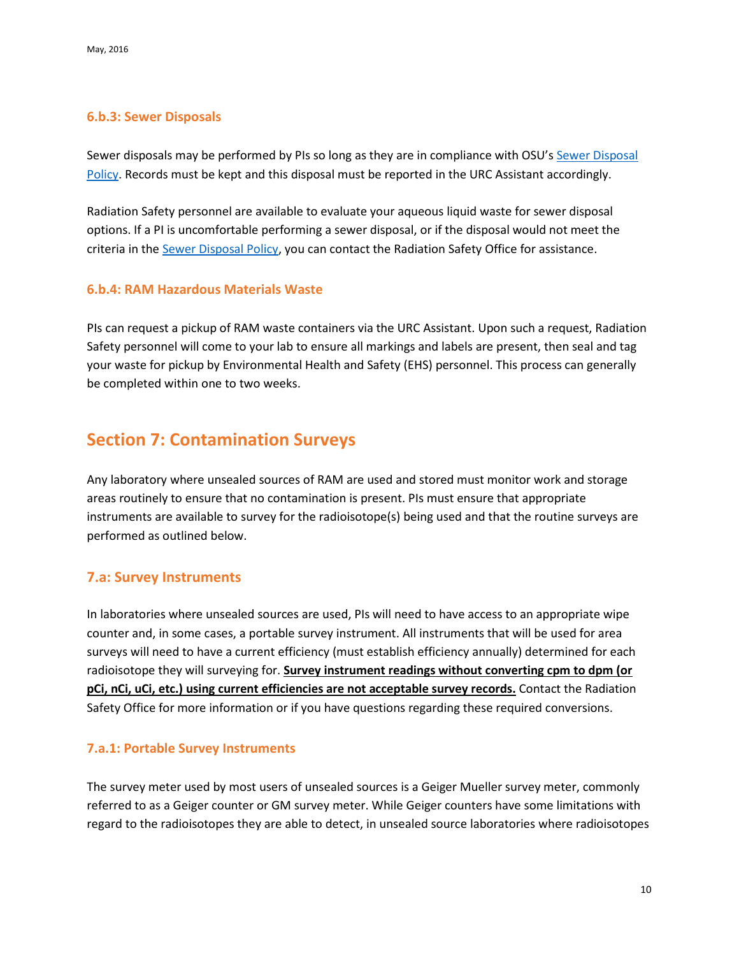#### <span id="page-9-0"></span>**6.b.3: Sewer Disposals**

Sewer disposals may be performed by PIs so long as they are in compliance with OSU's [Sewer Disposal](http://compliance.okstate.edu/sites/default/files/rso_docs/RSO%20Policy%20-%20Sewer%20Disposals.pdf)  [Policy.](http://compliance.okstate.edu/sites/default/files/rso_docs/RSO%20Policy%20-%20Sewer%20Disposals.pdf) Records must be kept and this disposal must be reported in the URC Assistant accordingly.

Radiation Safety personnel are available to evaluate your aqueous liquid waste for sewer disposal options. If a PI is uncomfortable performing a sewer disposal, or if the disposal would not meet the criteria in the **Sewer Disposal Policy**, you can contact the Radiation Safety Office for assistance.

#### <span id="page-9-1"></span>**6.b.4: RAM Hazardous Materials Waste**

PIs can request a pickup of RAM waste containers via the URC Assistant. Upon such a request, Radiation Safety personnel will come to your lab to ensure all markings and labels are present, then seal and tag your waste for pickup by Environmental Health and Safety (EHS) personnel. This process can generally be completed within one to two weeks.

## <span id="page-9-2"></span>**Section 7: Contamination Surveys**

Any laboratory where unsealed sources of RAM are used and stored must monitor work and storage areas routinely to ensure that no contamination is present. PIs must ensure that appropriate instruments are available to survey for the radioisotope(s) being used and that the routine surveys are performed as outlined below.

## <span id="page-9-3"></span>**7.a: Survey Instruments**

In laboratories where unsealed sources are used, PIs will need to have access to an appropriate wipe counter and, in some cases, a portable survey instrument. All instruments that will be used for area surveys will need to have a current efficiency (must establish efficiency annually) determined for each radioisotope they will surveying for. **Survey instrument readings without converting cpm to dpm (or pCi, nCi, uCi, etc.) using current efficiencies are not acceptable survey records.** Contact the Radiation Safety Office for more information or if you have questions regarding these required conversions.

#### <span id="page-9-4"></span>**7.a.1: Portable Survey Instruments**

The survey meter used by most users of unsealed sources is a Geiger Mueller survey meter, commonly referred to as a Geiger counter or GM survey meter. While Geiger counters have some limitations with regard to the radioisotopes they are able to detect, in unsealed source laboratories where radioisotopes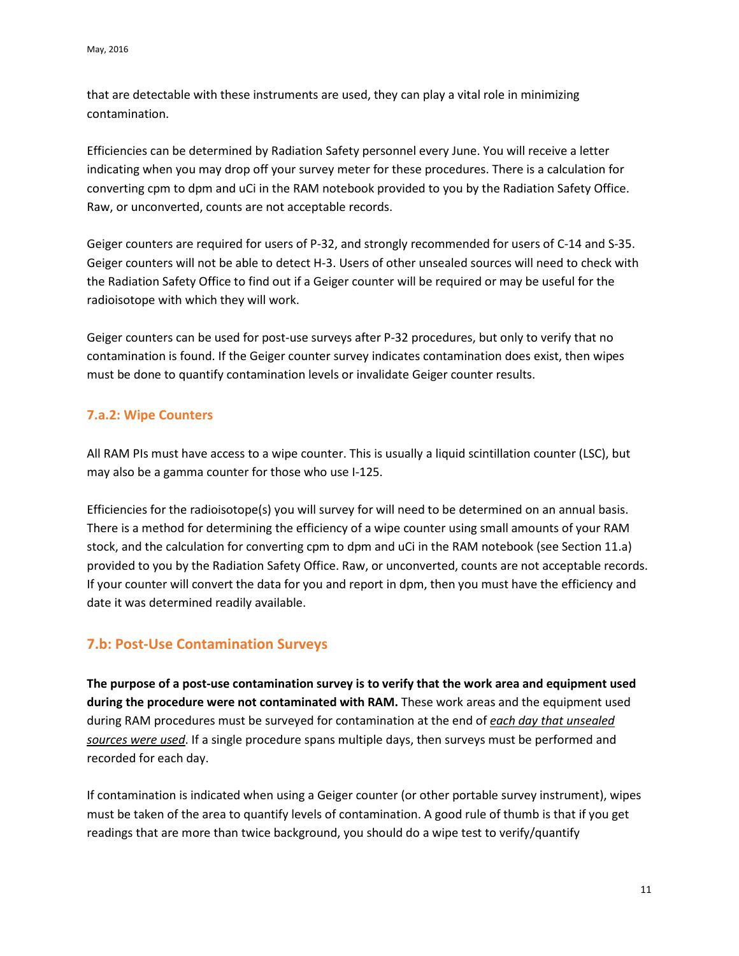that are detectable with these instruments are used, they can play a vital role in minimizing contamination.

Efficiencies can be determined by Radiation Safety personnel every June. You will receive a letter indicating when you may drop off your survey meter for these procedures. There is a calculation for converting cpm to dpm and uCi in the RAM notebook provided to you by the Radiation Safety Office. Raw, or unconverted, counts are not acceptable records.

Geiger counters are required for users of P-32, and strongly recommended for users of C-14 and S-35. Geiger counters will not be able to detect H-3. Users of other unsealed sources will need to check with the Radiation Safety Office to find out if a Geiger counter will be required or may be useful for the radioisotope with which they will work.

Geiger counters can be used for post-use surveys after P-32 procedures, but only to verify that no contamination is found. If the Geiger counter survey indicates contamination does exist, then wipes must be done to quantify contamination levels or invalidate Geiger counter results.

#### <span id="page-10-0"></span>**7.a.2: Wipe Counters**

All RAM PIs must have access to a wipe counter. This is usually a liquid scintillation counter (LSC), but may also be a gamma counter for those who use I-125.

Efficiencies for the radioisotope(s) you will survey for will need to be determined on an annual basis. There is a method for determining the efficiency of a wipe counter using small amounts of your RAM stock, and the calculation for converting cpm to dpm and uCi in the RAM notebook (see Section 11.a) provided to you by the Radiation Safety Office. Raw, or unconverted, counts are not acceptable records. If your counter will convert the data for you and report in dpm, then you must have the efficiency and date it was determined readily available.

## <span id="page-10-1"></span>**7.b: Post-Use Contamination Surveys**

**The purpose of a post-use contamination survey is to verify that the work area and equipment used during the procedure were not contaminated with RAM.** These work areas and the equipment used during RAM procedures must be surveyed for contamination at the end of *each day that unsealed sources were used*. If a single procedure spans multiple days, then surveys must be performed and recorded for each day.

If contamination is indicated when using a Geiger counter (or other portable survey instrument), wipes must be taken of the area to quantify levels of contamination. A good rule of thumb is that if you get readings that are more than twice background, you should do a wipe test to verify/quantify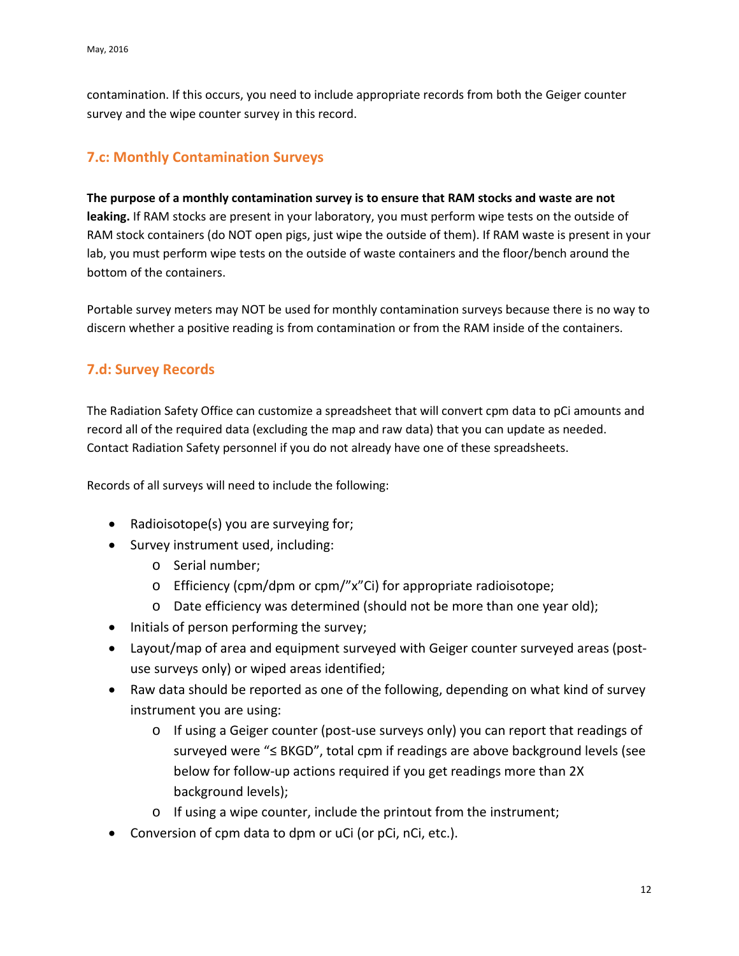contamination. If this occurs, you need to include appropriate records from both the Geiger counter survey and the wipe counter survey in this record.

## <span id="page-11-0"></span>**7.c: Monthly Contamination Surveys**

#### **The purpose of a monthly contamination survey is to ensure that RAM stocks and waste are not**

**leaking.** If RAM stocks are present in your laboratory, you must perform wipe tests on the outside of RAM stock containers (do NOT open pigs, just wipe the outside of them). If RAM waste is present in your lab, you must perform wipe tests on the outside of waste containers and the floor/bench around the bottom of the containers.

Portable survey meters may NOT be used for monthly contamination surveys because there is no way to discern whether a positive reading is from contamination or from the RAM inside of the containers.

## <span id="page-11-1"></span>**7.d: Survey Records**

The Radiation Safety Office can customize a spreadsheet that will convert cpm data to pCi amounts and record all of the required data (excluding the map and raw data) that you can update as needed. Contact Radiation Safety personnel if you do not already have one of these spreadsheets.

Records of all surveys will need to include the following:

- Radioisotope(s) you are surveying for;
- Survey instrument used, including:
	- o Serial number;
	- o Efficiency (cpm/dpm or cpm/"x"Ci) for appropriate radioisotope;
	- o Date efficiency was determined (should not be more than one year old);
- Initials of person performing the survey;
- Layout/map of area and equipment surveyed with Geiger counter surveyed areas (postuse surveys only) or wiped areas identified;
- Raw data should be reported as one of the following, depending on what kind of survey instrument you are using:
	- o If using a Geiger counter (post-use surveys only) you can report that readings of surveyed were "≤ BKGD", total cpm if readings are above background levels (see below for follow-up actions required if you get readings more than 2X background levels);
	- o If using a wipe counter, include the printout from the instrument;
- Conversion of cpm data to dpm or uCi (or pCi, nCi, etc.).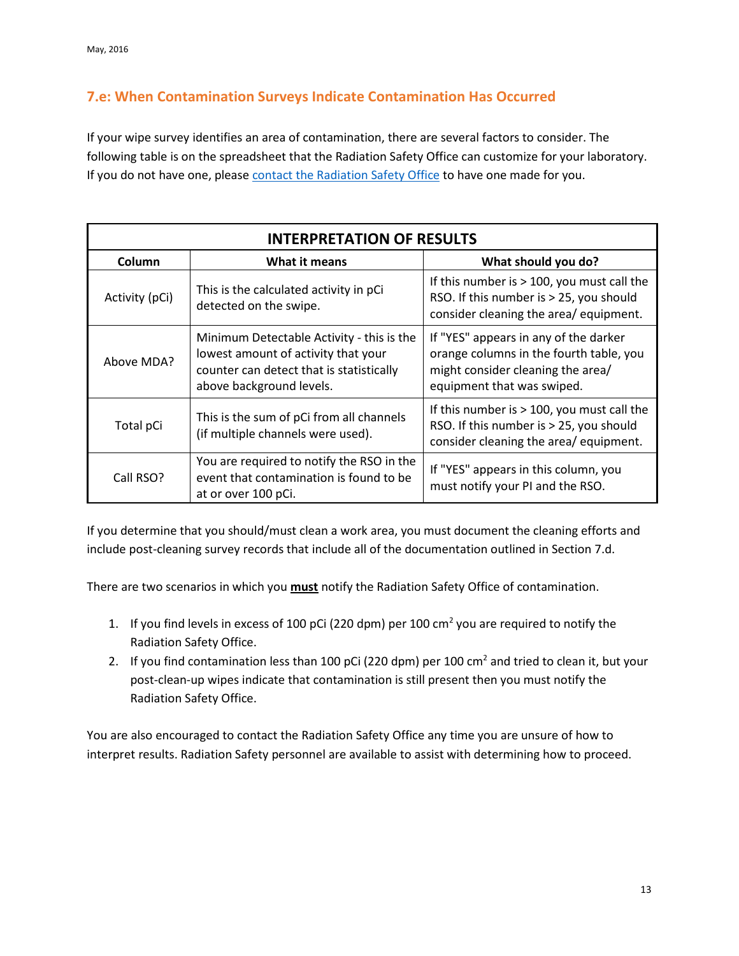## <span id="page-12-0"></span>**7.e: When Contamination Surveys Indicate Contamination Has Occurred**

If your wipe survey identifies an area of contamination, there are several factors to consider. The following table is on the spreadsheet that the Radiation Safety Office can customize for your laboratory. If you do not have one, please [contact the Radiation Safety Office](http://compliance.okstate.edu/rso/rso-contacts) to have one made for you.

| <b>INTERPRETATION OF RESULTS</b> |                                                                                                                                                          |                                                                                                                                                     |  |
|----------------------------------|----------------------------------------------------------------------------------------------------------------------------------------------------------|-----------------------------------------------------------------------------------------------------------------------------------------------------|--|
| Column                           | What it means                                                                                                                                            | What should you do?                                                                                                                                 |  |
| Activity (pCi)                   | This is the calculated activity in pCi<br>detected on the swipe.                                                                                         | If this number is $> 100$ , you must call the<br>RSO. If this number is > 25, you should<br>consider cleaning the area/ equipment.                  |  |
| Above MDA?                       | Minimum Detectable Activity - this is the<br>lowest amount of activity that your<br>counter can detect that is statistically<br>above background levels. | If "YES" appears in any of the darker<br>orange columns in the fourth table, you<br>might consider cleaning the area/<br>equipment that was swiped. |  |
| Total pCi                        | This is the sum of pCi from all channels<br>(if multiple channels were used).                                                                            | If this number is $> 100$ , you must call the<br>RSO. If this number is > 25, you should<br>consider cleaning the area/equipment.                   |  |
| Call RSO?                        | You are required to notify the RSO in the<br>event that contamination is found to be<br>at or over 100 pCi.                                              | If "YES" appears in this column, you<br>must notify your PI and the RSO.                                                                            |  |

If you determine that you should/must clean a work area, you must document the cleaning efforts and include post-cleaning survey records that include all of the documentation outlined in Section 7.d.

There are two scenarios in which you **must** notify the Radiation Safety Office of contamination.

- 1. If you find levels in excess of 100 pCi (220 dpm) per 100  $\text{cm}^2$  you are required to notify the Radiation Safety Office.
- 2. If you find contamination less than 100 pCi (220 dpm) per 100 cm<sup>2</sup> and tried to clean it, but your post-clean-up wipes indicate that contamination is still present then you must notify the Radiation Safety Office.

You are also encouraged to contact the Radiation Safety Office any time you are unsure of how to interpret results. Radiation Safety personnel are available to assist with determining how to proceed.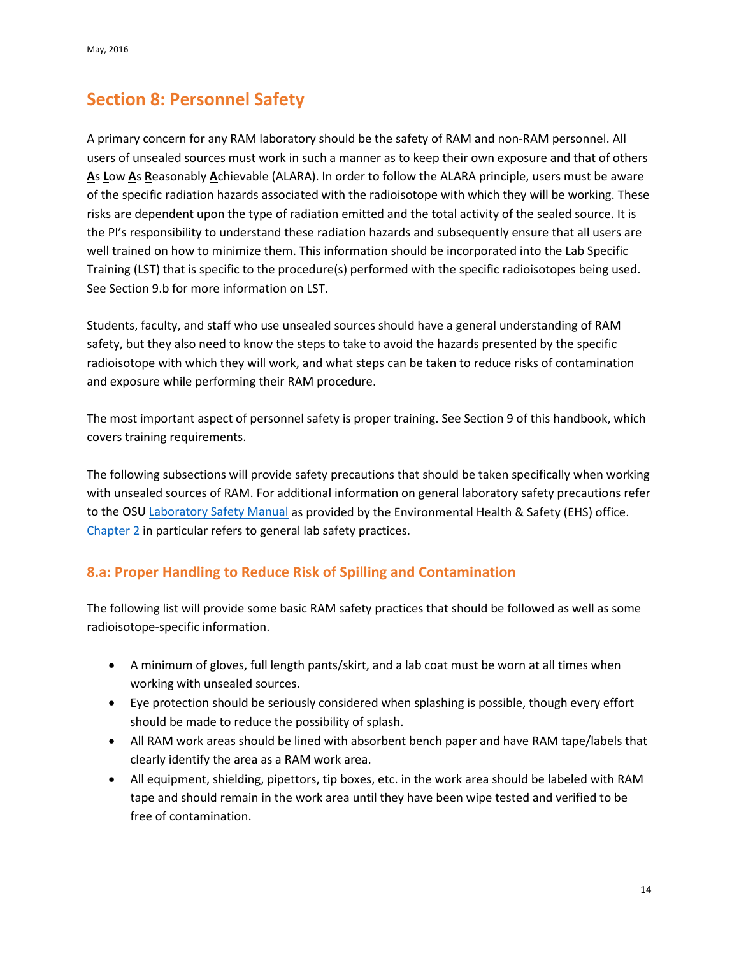## <span id="page-13-0"></span>**Section 8: Personnel Safety**

A primary concern for any RAM laboratory should be the safety of RAM and non-RAM personnel. All users of unsealed sources must work in such a manner as to keep their own exposure and that of others **A**s **L**ow **A**s **R**easonably **A**chievable (ALARA). In order to follow the ALARA principle, users must be aware of the specific radiation hazards associated with the radioisotope with which they will be working. These risks are dependent upon the type of radiation emitted and the total activity of the sealed source. It is the PI's responsibility to understand these radiation hazards and subsequently ensure that all users are well trained on how to minimize them. This information should be incorporated into the Lab Specific Training (LST) that is specific to the procedure(s) performed with the specific radioisotopes being used. See Section 9.b for more information on LST.

Students, faculty, and staff who use unsealed sources should have a general understanding of RAM safety, but they also need to know the steps to take to avoid the hazards presented by the specific radioisotope with which they will work, and what steps can be taken to reduce risks of contamination and exposure while performing their RAM procedure.

The most important aspect of personnel safety is proper training. See Section 9 of this handbook, which covers training requirements.

The following subsections will provide safety precautions that should be taken specifically when working with unsealed sources of RAM. For additional information on general laboratory safety precautions refer to the OSU [Laboratory Safety Manual](https://ehs.okstate.edu/hazmat/Labman.htm) as provided by the Environmental Health & Safety (EHS) office. [Chapter 2](https://ehs.okstate.edu/hazmat/labman/Chap2.htm) in particular refers to general lab safety practices.

## <span id="page-13-1"></span>**8.a: Proper Handling to Reduce Risk of Spilling and Contamination**

The following list will provide some basic RAM safety practices that should be followed as well as some radioisotope-specific information.

- A minimum of gloves, full length pants/skirt, and a lab coat must be worn at all times when working with unsealed sources.
- Eye protection should be seriously considered when splashing is possible, though every effort should be made to reduce the possibility of splash.
- All RAM work areas should be lined with absorbent bench paper and have RAM tape/labels that clearly identify the area as a RAM work area.
- All equipment, shielding, pipettors, tip boxes, etc. in the work area should be labeled with RAM tape and should remain in the work area until they have been wipe tested and verified to be free of contamination.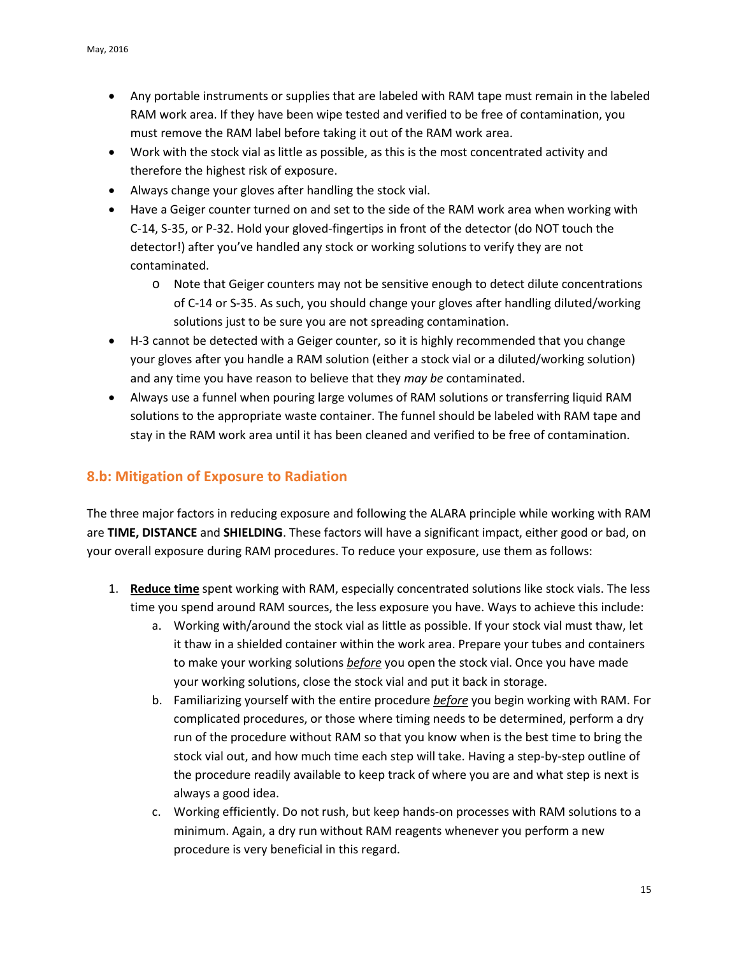- Any portable instruments or supplies that are labeled with RAM tape must remain in the labeled RAM work area. If they have been wipe tested and verified to be free of contamination, you must remove the RAM label before taking it out of the RAM work area.
- Work with the stock vial as little as possible, as this is the most concentrated activity and therefore the highest risk of exposure.
- Always change your gloves after handling the stock vial.
- Have a Geiger counter turned on and set to the side of the RAM work area when working with C-14, S-35, or P-32. Hold your gloved-fingertips in front of the detector (do NOT touch the detector!) after you've handled any stock or working solutions to verify they are not contaminated.
	- o Note that Geiger counters may not be sensitive enough to detect dilute concentrations of C-14 or S-35. As such, you should change your gloves after handling diluted/working solutions just to be sure you are not spreading contamination.
- H-3 cannot be detected with a Geiger counter, so it is highly recommended that you change your gloves after you handle a RAM solution (either a stock vial or a diluted/working solution) and any time you have reason to believe that they *may be* contaminated.
- Always use a funnel when pouring large volumes of RAM solutions or transferring liquid RAM solutions to the appropriate waste container. The funnel should be labeled with RAM tape and stay in the RAM work area until it has been cleaned and verified to be free of contamination.

## <span id="page-14-0"></span>**8.b: Mitigation of Exposure to Radiation**

The three major factors in reducing exposure and following the ALARA principle while working with RAM are **TIME, DISTANCE** and **SHIELDING**. These factors will have a significant impact, either good or bad, on your overall exposure during RAM procedures. To reduce your exposure, use them as follows:

- 1. **Reduce time** spent working with RAM, especially concentrated solutions like stock vials. The less time you spend around RAM sources, the less exposure you have. Ways to achieve this include:
	- a. Working with/around the stock vial as little as possible. If your stock vial must thaw, let it thaw in a shielded container within the work area. Prepare your tubes and containers to make your working solutions *before* you open the stock vial. Once you have made your working solutions, close the stock vial and put it back in storage.
	- b. Familiarizing yourself with the entire procedure *before* you begin working with RAM. For complicated procedures, or those where timing needs to be determined, perform a dry run of the procedure without RAM so that you know when is the best time to bring the stock vial out, and how much time each step will take. Having a step-by-step outline of the procedure readily available to keep track of where you are and what step is next is always a good idea.
	- c. Working efficiently. Do not rush, but keep hands-on processes with RAM solutions to a minimum. Again, a dry run without RAM reagents whenever you perform a new procedure is very beneficial in this regard.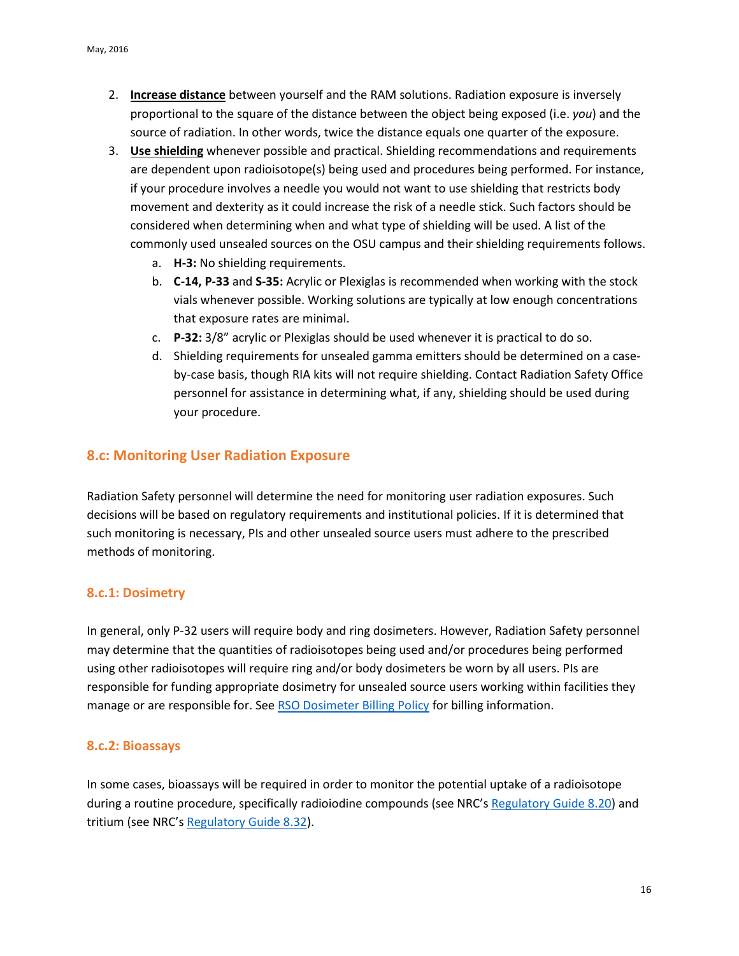- 2. **Increase distance** between yourself and the RAM solutions. Radiation exposure is inversely proportional to the square of the distance between the object being exposed (i.e. *you*) and the source of radiation. In other words, twice the distance equals one quarter of the exposure.
- 3. **Use shielding** whenever possible and practical. Shielding recommendations and requirements are dependent upon radioisotope(s) being used and procedures being performed. For instance, if your procedure involves a needle you would not want to use shielding that restricts body movement and dexterity as it could increase the risk of a needle stick. Such factors should be considered when determining when and what type of shielding will be used. A list of the commonly used unsealed sources on the OSU campus and their shielding requirements follows.
	- a. **H-3:** No shielding requirements.
	- b. **C-14, P-33** and **S-35:** Acrylic or Plexiglas is recommended when working with the stock vials whenever possible. Working solutions are typically at low enough concentrations that exposure rates are minimal.
	- c. **P-32:** 3/8" acrylic or Plexiglas should be used whenever it is practical to do so.
	- d. Shielding requirements for unsealed gamma emitters should be determined on a caseby-case basis, though RIA kits will not require shielding. Contact Radiation Safety Office personnel for assistance in determining what, if any, shielding should be used during your procedure.

#### <span id="page-15-0"></span>**8.c: Monitoring User Radiation Exposure**

Radiation Safety personnel will determine the need for monitoring user radiation exposures. Such decisions will be based on regulatory requirements and institutional policies. If it is determined that such monitoring is necessary, PIs and other unsealed source users must adhere to the prescribed methods of monitoring.

#### <span id="page-15-1"></span>**8.c.1: Dosimetry**

In general, only P-32 users will require body and ring dosimeters. However, Radiation Safety personnel may determine that the quantities of radioisotopes being used and/or procedures being performed using other radioisotopes will require ring and/or body dosimeters be worn by all users. PIs are responsible for funding appropriate dosimetry for unsealed source users working within facilities they manage or are responsible for. See [RSO Dosimeter Billing Policy](http://compliance.okstate.edu/sites/default/files/rso_docs/RSO%20Dosimeter%20Billing%20Policy.pdf) for billing information.

#### <span id="page-15-2"></span>**8.c.2: Bioassays**

In some cases, bioassays will be required in order to monitor the potential uptake of a radioisotope during a routine procedure, specifically radioiodine compounds (see NRC's [Regulatory Guide 8.20\)](http://pbadupws.nrc.gov/docs/ML1406/ML14064A060.pdf) and tritium (see NRC's [Regulatory Guide 8.32\)](http://pbadupws.nrc.gov/docs/ML0037/ML003739479.pdf).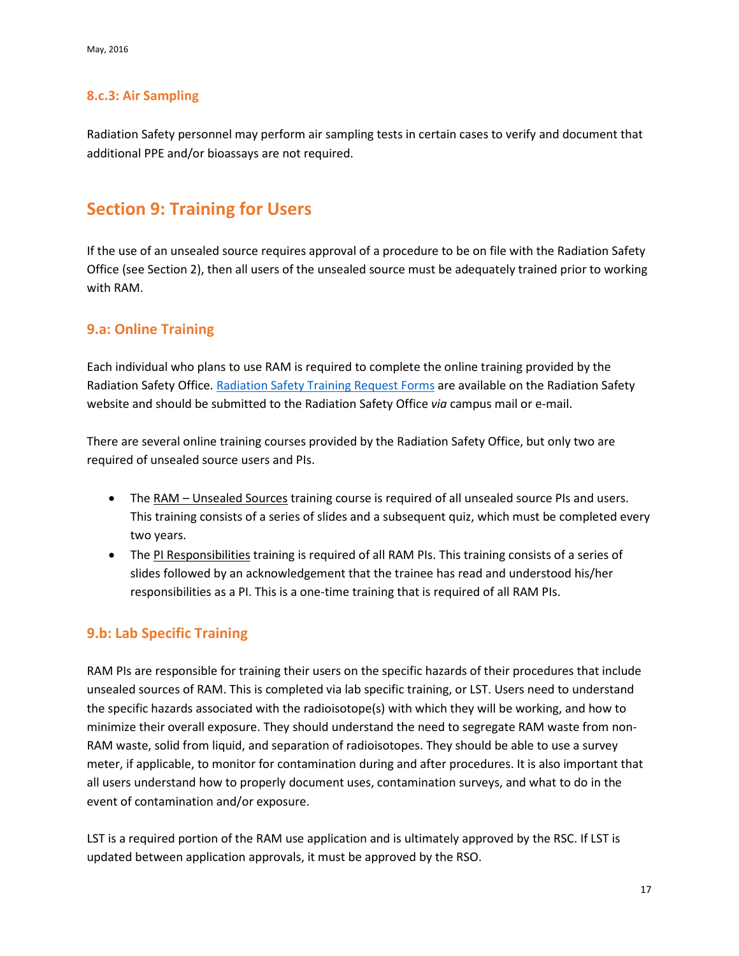### <span id="page-16-0"></span>**8.c.3: Air Sampling**

Radiation Safety personnel may perform air sampling tests in certain cases to verify and document that additional PPE and/or bioassays are not required.

## <span id="page-16-1"></span>**Section 9: Training for Users**

If the use of an unsealed source requires approval of a procedure to be on file with the Radiation Safety Office (see Section 2), then all users of the unsealed source must be adequately trained prior to working with RAM.

### <span id="page-16-2"></span>**9.a: Online Training**

Each individual who plans to use RAM is required to complete the online training provided by the Radiation Safety Office. [Radiation Safety Training Request Forms](http://compliance.okstate.edu/sites/default/files/rso_docs/Radiation%20Safety%20Training%20Request.pdf) are available on the Radiation Safety website and should be submitted to the Radiation Safety Office *via* campus mail or e-mail.

There are several online training courses provided by the Radiation Safety Office, but only two are required of unsealed source users and PIs.

- The RAM Unsealed Sources training course is required of all unsealed source PIs and users. This training consists of a series of slides and a subsequent quiz, which must be completed every two years.
- The PI Responsibilities training is required of all RAM PIs. This training consists of a series of slides followed by an acknowledgement that the trainee has read and understood his/her responsibilities as a PI. This is a one-time training that is required of all RAM PIs.

## <span id="page-16-3"></span>**9.b: Lab Specific Training**

RAM PIs are responsible for training their users on the specific hazards of their procedures that include unsealed sources of RAM. This is completed via lab specific training, or LST. Users need to understand the specific hazards associated with the radioisotope(s) with which they will be working, and how to minimize their overall exposure. They should understand the need to segregate RAM waste from non-RAM waste, solid from liquid, and separation of radioisotopes. They should be able to use a survey meter, if applicable, to monitor for contamination during and after procedures. It is also important that all users understand how to properly document uses, contamination surveys, and what to do in the event of contamination and/or exposure.

LST is a required portion of the RAM use application and is ultimately approved by the RSC. If LST is updated between application approvals, it must be approved by the RSO.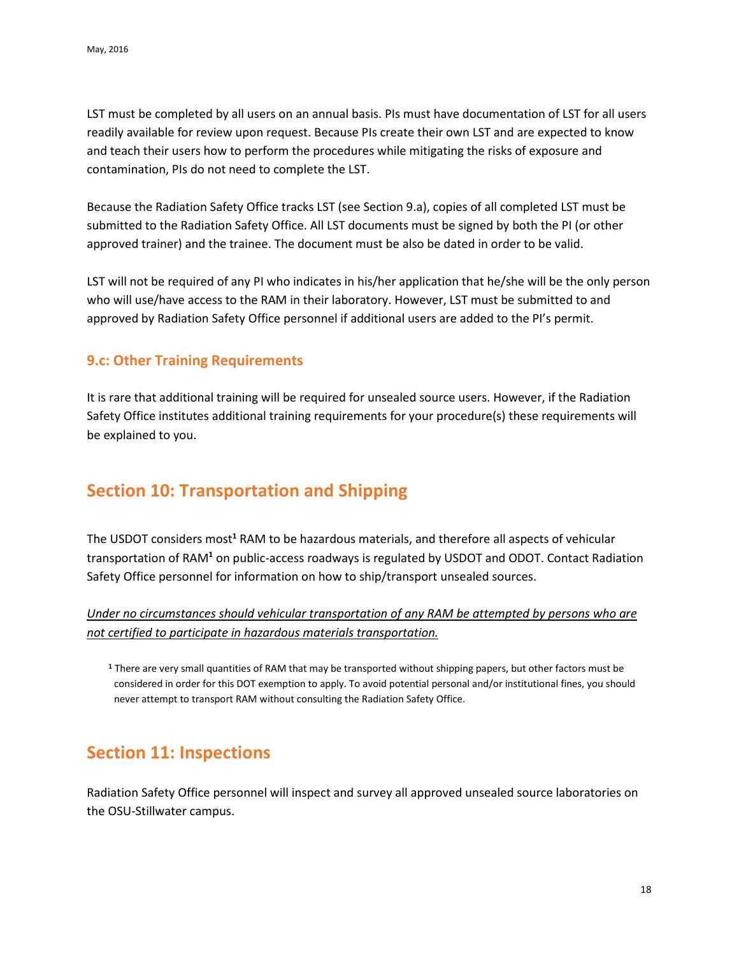LST must be completed by all users on an annual basis. PIs must have documentation of LST for all users readily available for review upon request. Because PIs create their own LST and are expected to know and teach their users how to perform the procedures while mitigating the risks of exposure and contamination, PIs do not need to complete the LST.

Because the Radiation Safety Office tracks LST (see Section 9.a), copies of all completed LST must be submitted to the Radiation Safety Office. All LST documents must be signed by both the PI (or other approved trainer) and the trainee. The document must be also be dated in order to be valid.

LST will not be required of any PI who indicates in his/her application that he/she will be the only person who will use/have access to the RAM in their laboratory. However, LST must be submitted to and approved by Radiation Safety Office personnel if additional users are added to the PI's permit.

#### <span id="page-17-0"></span>**9.c: Other Training Requirements**

It is rare that additional training will be required for unsealed source users. However, if the Radiation Safety Office institutes additional training requirements for your procedure(s) these requirements will be explained to you.

# <span id="page-17-1"></span>**Section 10: Transportation and Shipping**

The USDOT considers most**<sup>1</sup>** RAM to be hazardous materials, and therefore all aspects of vehicular transportation of RAM**<sup>1</sup>** on public-access roadways is regulated by USDOT and ODOT. Contact Radiation Safety Office personnel for information on how to ship/transport unsealed sources.

### *Under no circumstances should vehicular transportation of any RAM be attempted by persons who are not certified to participate in hazardous materials transportation.*

**<sup>1</sup>** There are very small quantities of RAM that may be transported without shipping papers, but other factors must be considered in order for this DOT exemption to apply. To avoid potential personal and/or institutional fines, you should never attempt to transport RAM without consulting the Radiation Safety Office.

## <span id="page-17-2"></span>**Section 11: Inspections**

Radiation Safety Office personnel will inspect and survey all approved unsealed source laboratories on the OSU-Stillwater campus.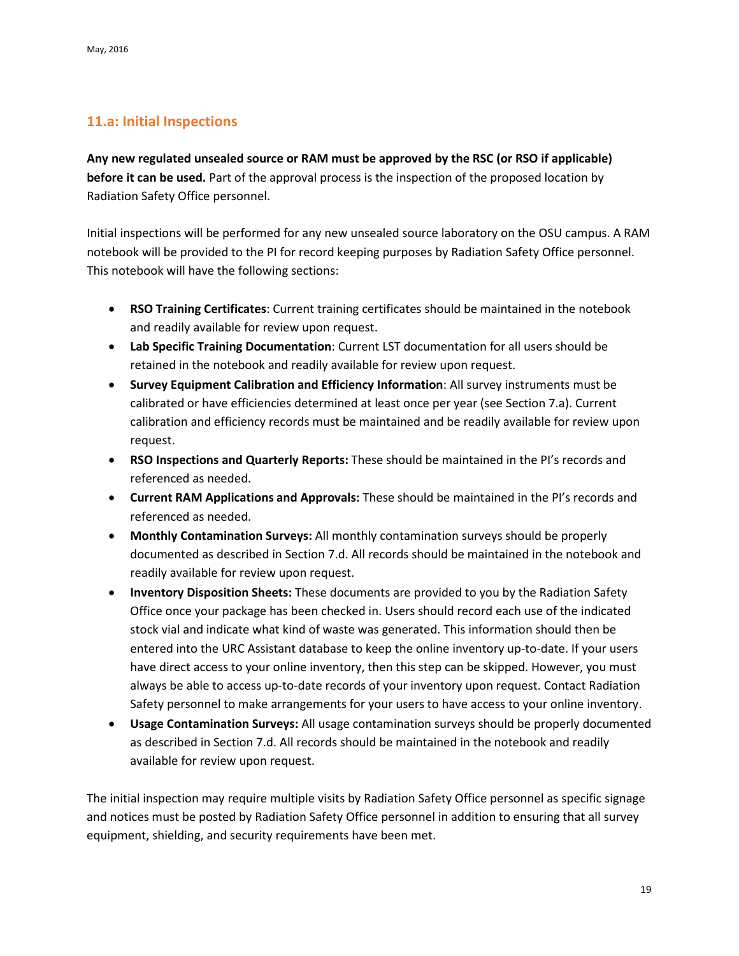## <span id="page-18-0"></span>**11.a: Initial Inspections**

**Any new regulated unsealed source or RAM must be approved by the RSC (or RSO if applicable) before it can be used.** Part of the approval process is the inspection of the proposed location by Radiation Safety Office personnel.

Initial inspections will be performed for any new unsealed source laboratory on the OSU campus. A RAM notebook will be provided to the PI for record keeping purposes by Radiation Safety Office personnel. This notebook will have the following sections:

- **RSO Training Certificates**: Current training certificates should be maintained in the notebook and readily available for review upon request.
- **Lab Specific Training Documentation**: Current LST documentation for all users should be retained in the notebook and readily available for review upon request.
- **Survey Equipment Calibration and Efficiency Information**: All survey instruments must be calibrated or have efficiencies determined at least once per year (see Section 7.a). Current calibration and efficiency records must be maintained and be readily available for review upon request.
- **RSO Inspections and Quarterly Reports:** These should be maintained in the PI's records and referenced as needed.
- **Current RAM Applications and Approvals:** These should be maintained in the PI's records and referenced as needed.
- **Monthly Contamination Surveys:** All monthly contamination surveys should be properly documented as described in Section 7.d. All records should be maintained in the notebook and readily available for review upon request.
- **Inventory Disposition Sheets:** These documents are provided to you by the Radiation Safety Office once your package has been checked in. Users should record each use of the indicated stock vial and indicate what kind of waste was generated. This information should then be entered into the URC Assistant database to keep the online inventory up-to-date. If your users have direct access to your online inventory, then this step can be skipped. However, you must always be able to access up-to-date records of your inventory upon request. Contact Radiation Safety personnel to make arrangements for your users to have access to your online inventory.
- **Usage Contamination Surveys:** All usage contamination surveys should be properly documented as described in Section 7.d. All records should be maintained in the notebook and readily available for review upon request.

The initial inspection may require multiple visits by Radiation Safety Office personnel as specific signage and notices must be posted by Radiation Safety Office personnel in addition to ensuring that all survey equipment, shielding, and security requirements have been met.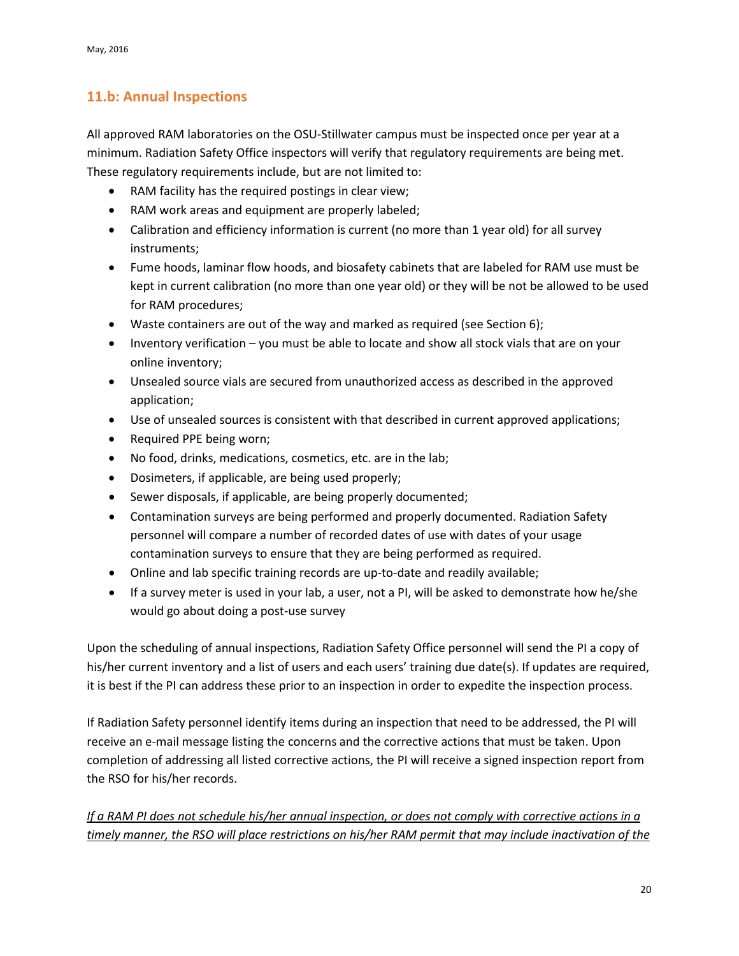## <span id="page-19-0"></span>**11.b: Annual Inspections**

All approved RAM laboratories on the OSU-Stillwater campus must be inspected once per year at a minimum. Radiation Safety Office inspectors will verify that regulatory requirements are being met. These regulatory requirements include, but are not limited to:

- RAM facility has the required postings in clear view;
- RAM work areas and equipment are properly labeled;
- Calibration and efficiency information is current (no more than 1 year old) for all survey instruments;
- Fume hoods, laminar flow hoods, and biosafety cabinets that are labeled for RAM use must be kept in current calibration (no more than one year old) or they will be not be allowed to be used for RAM procedures;
- Waste containers are out of the way and marked as required (see Section 6);
- Inventory verification you must be able to locate and show all stock vials that are on your online inventory;
- Unsealed source vials are secured from unauthorized access as described in the approved application;
- Use of unsealed sources is consistent with that described in current approved applications;
- Required PPE being worn;
- No food, drinks, medications, cosmetics, etc. are in the lab;
- Dosimeters, if applicable, are being used properly;
- Sewer disposals, if applicable, are being properly documented;
- Contamination surveys are being performed and properly documented. Radiation Safety personnel will compare a number of recorded dates of use with dates of your usage contamination surveys to ensure that they are being performed as required.
- Online and lab specific training records are up-to-date and readily available;
- If a survey meter is used in your lab, a user, not a PI, will be asked to demonstrate how he/she would go about doing a post-use survey

Upon the scheduling of annual inspections, Radiation Safety Office personnel will send the PI a copy of his/her current inventory and a list of users and each users' training due date(s). If updates are required, it is best if the PI can address these prior to an inspection in order to expedite the inspection process.

If Radiation Safety personnel identify items during an inspection that need to be addressed, the PI will receive an e-mail message listing the concerns and the corrective actions that must be taken. Upon completion of addressing all listed corrective actions, the PI will receive a signed inspection report from the RSO for his/her records.

*If a RAM PI does not schedule his/her annual inspection, or does not comply with corrective actions in a timely manner, the RSO will place restrictions on his/her RAM permit that may include inactivation of the*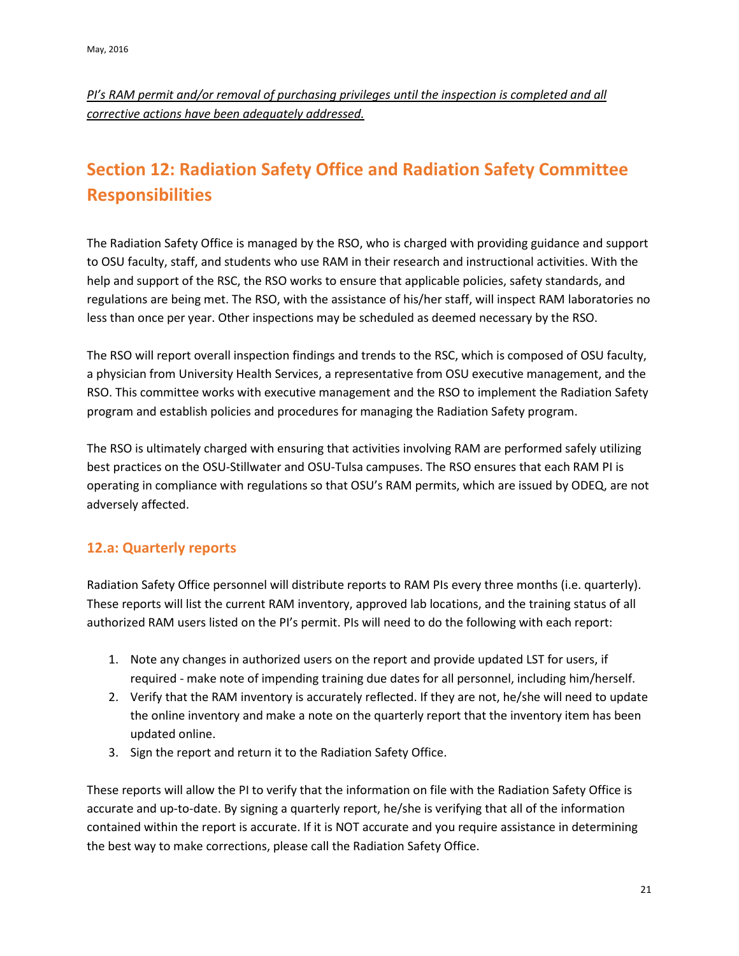*PI's RAM permit and/or removal of purchasing privileges until the inspection is completed and all corrective actions have been adequately addressed.*

# <span id="page-20-0"></span>**Section 12: Radiation Safety Office and Radiation Safety Committee Responsibilities**

The Radiation Safety Office is managed by the RSO, who is charged with providing guidance and support to OSU faculty, staff, and students who use RAM in their research and instructional activities. With the help and support of the RSC, the RSO works to ensure that applicable policies, safety standards, and regulations are being met. The RSO, with the assistance of his/her staff, will inspect RAM laboratories no less than once per year. Other inspections may be scheduled as deemed necessary by the RSO.

The RSO will report overall inspection findings and trends to the RSC, which is composed of OSU faculty, a physician from University Health Services, a representative from OSU executive management, and the RSO. This committee works with executive management and the RSO to implement the Radiation Safety program and establish policies and procedures for managing the Radiation Safety program.

The RSO is ultimately charged with ensuring that activities involving RAM are performed safely utilizing best practices on the OSU-Stillwater and OSU-Tulsa campuses. The RSO ensures that each RAM PI is operating in compliance with regulations so that OSU's RAM permits, which are issued by ODEQ, are not adversely affected.

## <span id="page-20-1"></span>**12.a: Quarterly reports**

Radiation Safety Office personnel will distribute reports to RAM PIs every three months (i.e. quarterly). These reports will list the current RAM inventory, approved lab locations, and the training status of all authorized RAM users listed on the PI's permit. PIs will need to do the following with each report:

- 1. Note any changes in authorized users on the report and provide updated LST for users, if required - make note of impending training due dates for all personnel, including him/herself.
- 2. Verify that the RAM inventory is accurately reflected. If they are not, he/she will need to update the online inventory and make a note on the quarterly report that the inventory item has been updated online.
- 3. Sign the report and return it to the Radiation Safety Office.

These reports will allow the PI to verify that the information on file with the Radiation Safety Office is accurate and up-to-date. By signing a quarterly report, he/she is verifying that all of the information contained within the report is accurate. If it is NOT accurate and you require assistance in determining the best way to make corrections, please call the Radiation Safety Office.